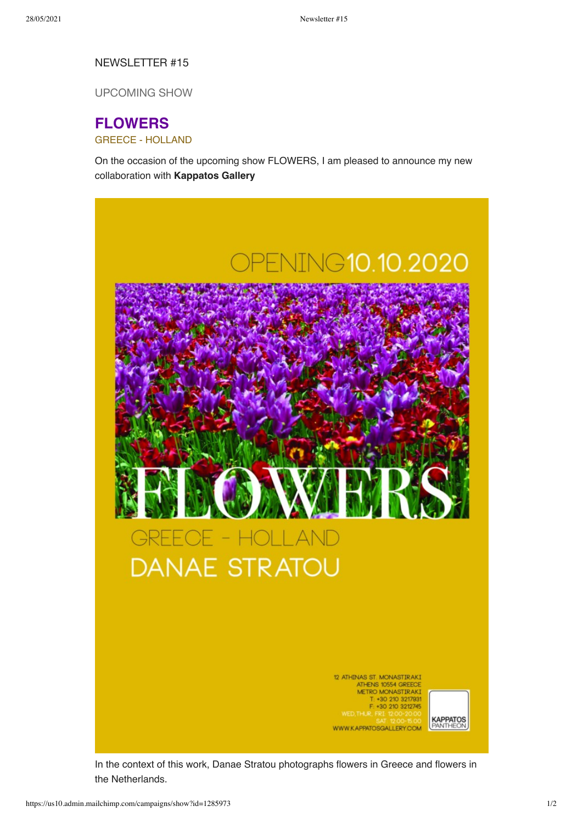## NEWSLETTER #15

UPCOMING SHOW

## **FLOWERS** GREECE - HOLLAND

On the occasion of the upcoming show FLOWERS, I am pleased to announce my new collaboration with **Kappatos Gallery**



In the context of this work, Danae Stratou photographs flowers in Greece and flowers in the Netherlands.